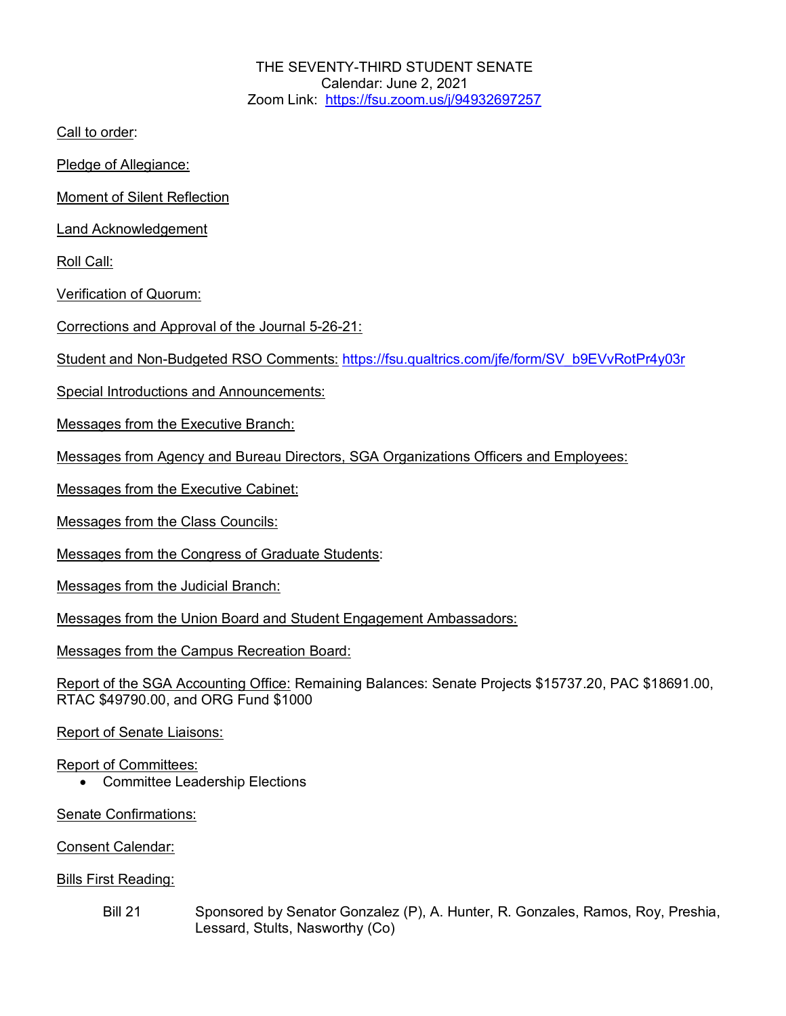THE SEVENTY-THIRD STUDENT SENATE Calendar: June 2, 2021 Zoom Link: https://fsu.zoom.us/j/94932697257

Call to order:

Pledge of Allegiance:

Moment of Silent Reflection

Land Acknowledgement

Roll Call:

Verification of Quorum:

Corrections and Approval of the Journal 5-26-21:

Student and Non-Budgeted RSO Comments: https://fsu.qualtrics.com/jfe/form/SV\_b9EVvRotPr4y03r

Special Introductions and Announcements:

Messages from the Executive Branch:

Messages from Agency and Bureau Directors, SGA Organizations Officers and Employees:

Messages from the Executive Cabinet:

Messages from the Class Councils:

Messages from the Congress of Graduate Students:

Messages from the Judicial Branch:

Messages from the Union Board and Student Engagement Ambassadors:

Messages from the Campus Recreation Board:

Report of the SGA Accounting Office: Remaining Balances: Senate Projects \$15737.20, PAC \$18691.00, RTAC \$49790.00, and ORG Fund \$1000

Report of Senate Liaisons:

## Report of Committees:

• Committee Leadership Elections

Senate Confirmations:

Consent Calendar:

Bills First Reading:

Bill 21 Sponsored by Senator Gonzalez (P), A. Hunter, R. Gonzales, Ramos, Roy, Preshia, Lessard, Stults, Nasworthy (Co)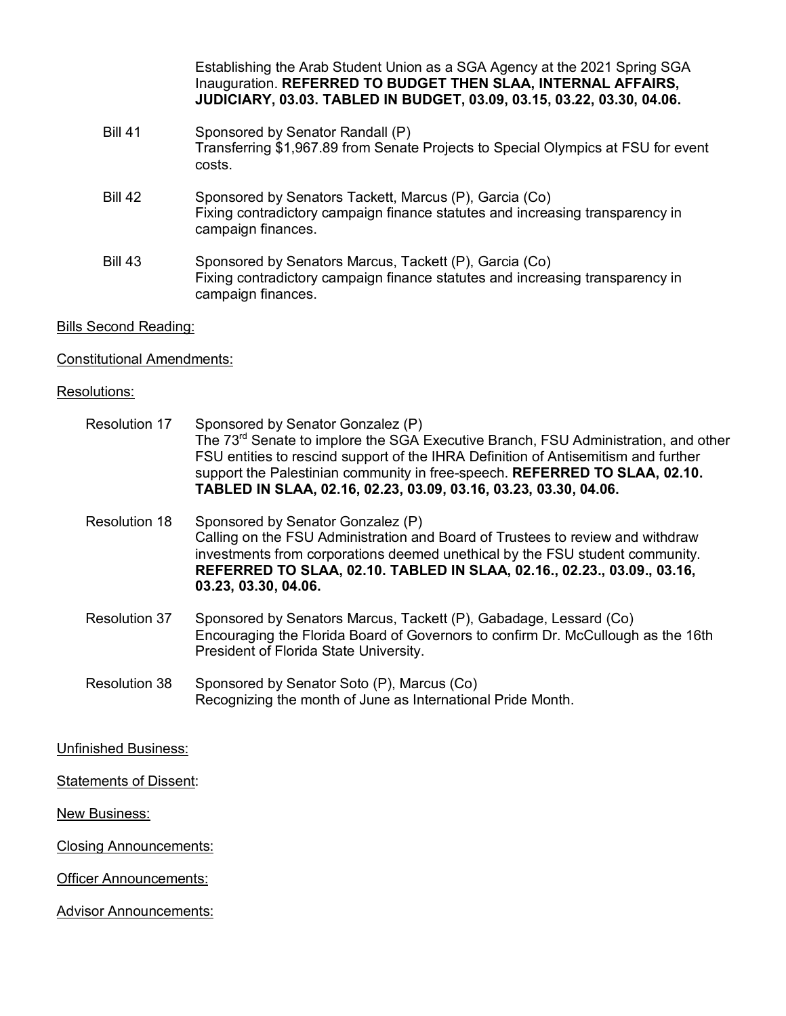Establishing the Arab Student Union as a SGA Agency at the 2021 Spring SGA Inauguration. **REFERRED TO BUDGET THEN SLAA, INTERNAL AFFAIRS, JUDICIARY, 03.03. TABLED IN BUDGET, 03.09, 03.15, 03.22, 03.30, 04.06.** Bill 41 Sponsored by Senator Randall (P) Transferring \$1,967.89 from Senate Projects to Special Olympics at FSU for event costs. Bill 42 Sponsored by Senators Tackett, Marcus (P), Garcia (Co) Fixing contradictory campaign finance statutes and increasing transparency in campaign finances. Bill 43 Sponsored by Senators Marcus, Tackett (P), Garcia (Co) Fixing contradictory campaign finance statutes and increasing transparency in campaign finances.

Bills Second Reading:

Constitutional Amendments:

## Resolutions:

| Resolution 17               | Sponsored by Senator Gonzalez (P)<br>The 73 <sup>rd</sup> Senate to implore the SGA Executive Branch, FSU Administration, and other<br>FSU entities to rescind support of the IHRA Definition of Antisemitism and further<br>support the Palestinian community in free-speech. REFERRED TO SLAA, 02.10.<br>TABLED IN SLAA, 02.16, 02.23, 03.09, 03.16, 03.23, 03.30, 04.06. |
|-----------------------------|-----------------------------------------------------------------------------------------------------------------------------------------------------------------------------------------------------------------------------------------------------------------------------------------------------------------------------------------------------------------------------|
| Resolution 18               | Sponsored by Senator Gonzalez (P)<br>Calling on the FSU Administration and Board of Trustees to review and withdraw<br>investments from corporations deemed unethical by the FSU student community.<br>REFERRED TO SLAA, 02.10. TABLED IN SLAA, 02.16., 02.23., 03.09., 03.16,<br>03.23, 03.30, 04.06.                                                                      |
| Resolution 37               | Sponsored by Senators Marcus, Tackett (P), Gabadage, Lessard (Co)<br>Encouraging the Florida Board of Governors to confirm Dr. McCullough as the 16th<br>President of Florida State University.                                                                                                                                                                             |
| Resolution 38               | Sponsored by Senator Soto (P), Marcus (Co)<br>Recognizing the month of June as International Pride Month.                                                                                                                                                                                                                                                                   |
| <b>Unfinished Business:</b> |                                                                                                                                                                                                                                                                                                                                                                             |

Statements of Dissent:

New Business:

Closing Announcements:

**Officer Announcements:** 

Advisor Announcements: